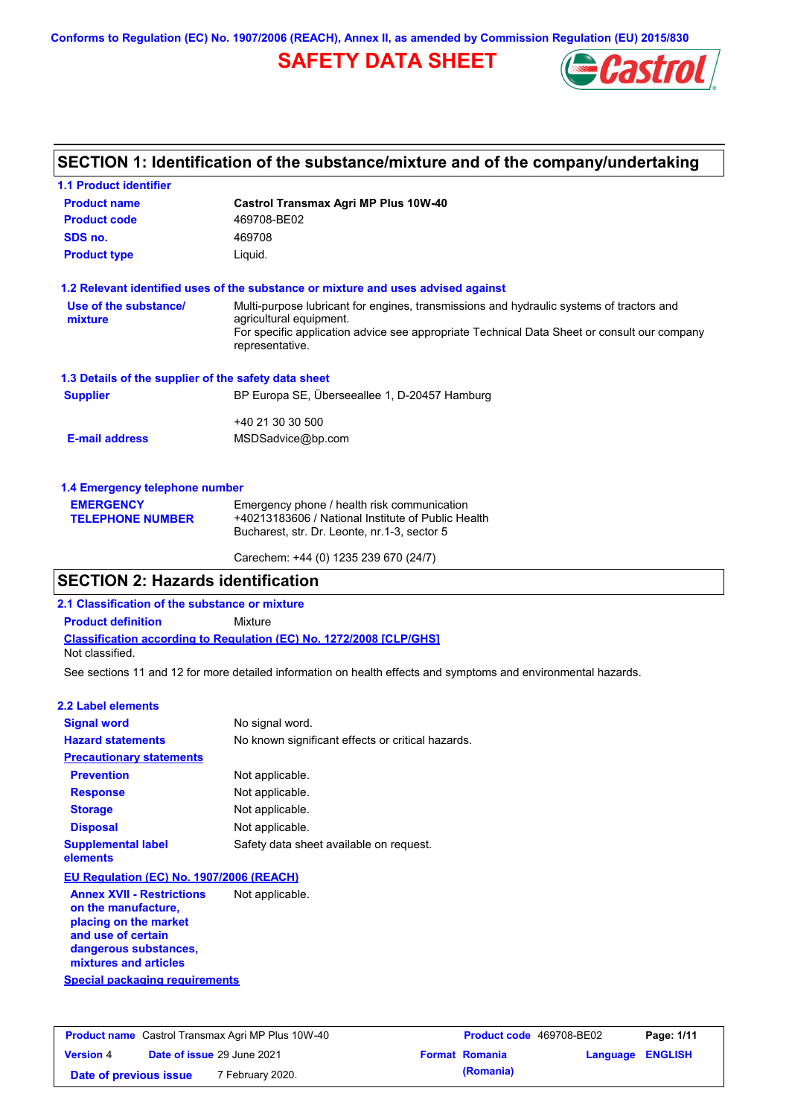**Conforms to Regulation (EC) No. 1907/2006 (REACH), Annex II, as amended by Commission Regulation (EU) 2015/830**

# **SAFETY DATA SHEET**



### **SECTION 1: Identification of the substance/mixture and of the company/undertaking**

| <b>1.1 Product identifier</b>                        |                                                                                                                                                   |  |
|------------------------------------------------------|---------------------------------------------------------------------------------------------------------------------------------------------------|--|
| <b>Product name</b>                                  | <b>Castrol Transmax Agri MP Plus 10W-40</b>                                                                                                       |  |
| <b>Product code</b>                                  | 469708-BE02                                                                                                                                       |  |
| SDS no.                                              | 469708                                                                                                                                            |  |
| <b>Product type</b>                                  | Liquid.                                                                                                                                           |  |
|                                                      | 1.2 Relevant identified uses of the substance or mixture and uses advised against                                                                 |  |
| Use of the substance/<br>mixture                     | Multi-purpose lubricant for engines, transmissions and hydraulic systems of tractors and<br>agricultural equipment.                               |  |
|                                                      | For specific application advice see appropriate Technical Data Sheet or consult our company<br>representative.                                    |  |
| 1.3 Details of the supplier of the safety data sheet |                                                                                                                                                   |  |
| <b>Supplier</b>                                      | BP Europa SE, Überseeallee 1, D-20457 Hamburg                                                                                                     |  |
|                                                      | +40 21 30 30 500                                                                                                                                  |  |
| <b>E-mail address</b>                                | MSDSadvice@bp.com                                                                                                                                 |  |
| 1.4 Emergency telephone number                       |                                                                                                                                                   |  |
| <b>EMERGENCY</b><br><b>TELEPHONE NUMBER</b>          | Emergency phone / health risk communication<br>+40213183606 / National Institute of Public Health<br>Bucharest, str. Dr. Leonte, nr.1-3, sector 5 |  |
|                                                      | Carechem: +44 (0) 1235 239 670 (24/7)                                                                                                             |  |

### **SECTION 2: Hazards identification**

**2.1 Classification of the substance or mixture**

**Product definition** Mixture

**Classification according to Regulation (EC) No. 1272/2008 [CLP/GHS]**

Not classified.

See sections 11 and 12 for more detailed information on health effects and symptoms and environmental hazards.

#### **2.2 Label elements**

| <b>Signal word</b>                                                               | No signal word.                                   |
|----------------------------------------------------------------------------------|---------------------------------------------------|
| <b>Hazard statements</b>                                                         | No known significant effects or critical hazards. |
| <b>Precautionary statements</b>                                                  |                                                   |
| <b>Prevention</b>                                                                | Not applicable.                                   |
| <b>Response</b>                                                                  | Not applicable.                                   |
| <b>Storage</b>                                                                   | Not applicable.                                   |
| <b>Disposal</b>                                                                  | Not applicable.                                   |
| <b>Supplemental label</b><br>elements                                            | Safety data sheet available on request.           |
| EU Regulation (EC) No. 1907/2006 (REACH)                                         |                                                   |
| <b>Annex XVII - Restrictions</b><br>on the manufacture.<br>nlacing on the market | Not applicable.                                   |

**Special packaging requirements placing on the market and use of certain dangerous substances, mixtures and articles**

| <b>Product name</b> Castrol Transmax Agri MP Plus 10W-40 |  | <b>Product code</b> 469708-BE02   |                       | Page: 1/11              |  |
|----------------------------------------------------------|--|-----------------------------------|-----------------------|-------------------------|--|
| <b>Version 4</b>                                         |  | <b>Date of issue 29 June 2021</b> | <b>Format Romania</b> | <b>Language ENGLISH</b> |  |
| Date of previous issue                                   |  | 7 February 2020.                  | (Romania)             |                         |  |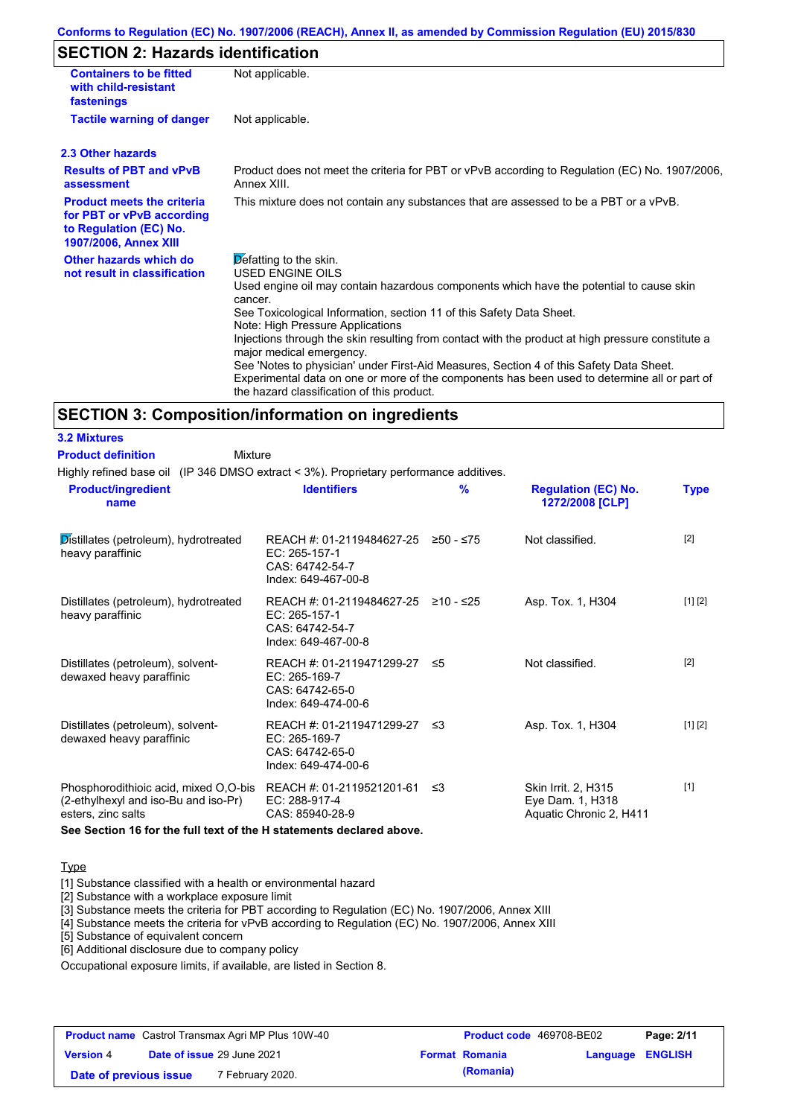### **SECTION 2: Hazards identification**

| <b>Containers to be fitted</b><br>with child-resistant<br>fastenings                                                     | Not applicable.                                                                                                                                                                                                                                                                                                                                                                                            |
|--------------------------------------------------------------------------------------------------------------------------|------------------------------------------------------------------------------------------------------------------------------------------------------------------------------------------------------------------------------------------------------------------------------------------------------------------------------------------------------------------------------------------------------------|
| <b>Tactile warning of danger</b>                                                                                         | Not applicable.                                                                                                                                                                                                                                                                                                                                                                                            |
| 2.3 Other hazards                                                                                                        |                                                                                                                                                                                                                                                                                                                                                                                                            |
| <b>Results of PBT and vPvB</b><br>assessment                                                                             | Product does not meet the criteria for PBT or vPvB according to Regulation (EC) No. 1907/2006,<br>Annex XIII.                                                                                                                                                                                                                                                                                              |
| <b>Product meets the criteria</b><br>for PBT or vPvB according<br>to Regulation (EC) No.<br><b>1907/2006, Annex XIII</b> | This mixture does not contain any substances that are assessed to be a PBT or a vPvB.                                                                                                                                                                                                                                                                                                                      |
| Other hazards which do<br>not result in classification                                                                   | Defatting to the skin.<br><b>USED ENGINE OILS</b><br>Used engine oil may contain hazardous components which have the potential to cause skin<br>cancer.<br>See Toxicological Information, section 11 of this Safety Data Sheet.                                                                                                                                                                            |
|                                                                                                                          | Note: High Pressure Applications<br>Injections through the skin resulting from contact with the product at high pressure constitute a<br>major medical emergency.<br>See 'Notes to physician' under First-Aid Measures, Section 4 of this Safety Data Sheet.<br>Experimental data on one or more of the components has been used to determine all or part of<br>the hazard classification of this product. |

#### **SECTION 3: Composition/information on ingredients**

**3.2 Mixtures**

| <b>Product definition</b>                                     | Mixture |                                                                                                |               |                                               |             |
|---------------------------------------------------------------|---------|------------------------------------------------------------------------------------------------|---------------|-----------------------------------------------|-------------|
|                                                               |         | Highly refined base oil (IP 346 DMSO extract < 3%). Proprietary performance additives.         |               |                                               |             |
| <b>Product/ingredient</b><br>name                             |         | <b>Identifiers</b>                                                                             | $\frac{9}{6}$ | <b>Regulation (EC) No.</b><br>1272/2008 [CLP] | <b>Type</b> |
| Distillates (petroleum), hydrotreated<br>heavy paraffinic     |         | REACH #: 01-2119484627-25 ≥50 - ≤75<br>EC: 265-157-1<br>CAS: 64742-54-7<br>Index: 649-467-00-8 |               | Not classified.                               | $[2]$       |
| Distillates (petroleum), hydrotreated<br>heavy paraffinic     |         | REACH #: 01-2119484627-25<br>EC: 265-157-1<br>CAS: 64742-54-7<br>Index: 649-467-00-8           | ≥10 - ≤25     | Asp. Tox. 1, H304                             | [1] [2]     |
| Distillates (petroleum), solvent-<br>dewaxed heavy paraffinic |         | REACH #: 01-2119471299-27 ≤5<br>EC: 265-169-7<br>CAS: 64742-65-0<br>Index: 649-474-00-6        |               | Not classified.                               | $[2]$       |
| Distillates (petroleum), solvent-<br>dewaxed heavy paraffinic |         | REACH #: 01-2119471299-27<br>EC: 265-169-7                                                     | - ≤3          | Asp. Tox. 1, H304                             | [1] [2]     |

CAS: 64742-65-0 Index: 649-474-00-6 Phosphorodithioic acid, mixed O,O-bis REACH #: 01-2119521201-61 ≤3 (2-ethylhexyl and iso-Bu and iso-Pr) esters, zinc salts EC: 288-917-4 CAS: 85940-28-9 Skin Irrit. 2, H315 Eye Dam. 1, H318 Aquatic Chronic 2, H411 [1]

**See Section 16 for the full text of the H statements declared above.**

#### **Type**

[1] Substance classified with a health or environmental hazard

[2] Substance with a workplace exposure limit

[3] Substance meets the criteria for PBT according to Regulation (EC) No. 1907/2006, Annex XIII

[4] Substance meets the criteria for vPvB according to Regulation (EC) No. 1907/2006, Annex XIII

[5] Substance of equivalent concern

[6] Additional disclosure due to company policy

Occupational exposure limits, if available, are listed in Section 8.

| <b>Product name</b> Castrol Transmax Agri MP Plus 10W-40 |  |                            | <b>Product code</b> 469708-BE02 | Page: 2/11            |                         |  |
|----------------------------------------------------------|--|----------------------------|---------------------------------|-----------------------|-------------------------|--|
| <b>Version 4</b>                                         |  | Date of issue 29 June 2021 |                                 | <b>Format Romania</b> | <b>Language ENGLISH</b> |  |
| Date of previous issue                                   |  | 7 February 2020.           |                                 | (Romania)             |                         |  |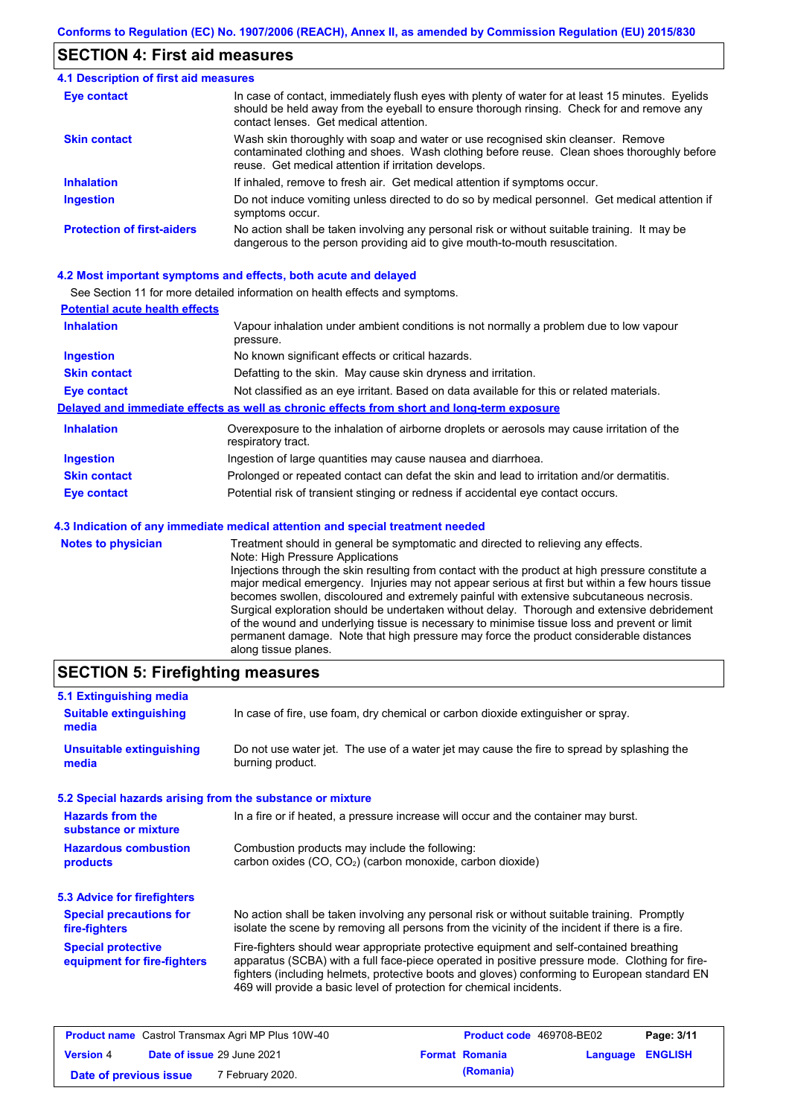### **SECTION 4: First aid measures**

#### Do not induce vomiting unless directed to do so by medical personnel. Get medical attention if symptoms occur. In case of contact, immediately flush eyes with plenty of water for at least 15 minutes. Eyelids should be held away from the eyeball to ensure thorough rinsing. Check for and remove any contact lenses. Get medical attention. **4.1 Description of first aid measures** If inhaled, remove to fresh air. Get medical attention if symptoms occur. **Ingestion Inhalation Eye contact Protection of first-aiders** No action shall be taken involving any personal risk or without suitable training. It may be dangerous to the person providing aid to give mouth-to-mouth resuscitation. **Skin contact** Wash skin thoroughly with soap and water or use recognised skin cleanser. Remove contaminated clothing and shoes. Wash clothing before reuse. Clean shoes thoroughly before reuse. Get medical attention if irritation develops.

#### **4.2 Most important symptoms and effects, both acute and delayed**

See Section 11 for more detailed information on health effects and symptoms.

| <b>Potential acute health effects</b> |                                                                                                                   |
|---------------------------------------|-------------------------------------------------------------------------------------------------------------------|
| <b>Inhalation</b>                     | Vapour inhalation under ambient conditions is not normally a problem due to low vapour<br>pressure.               |
| <b>Ingestion</b>                      | No known significant effects or critical hazards.                                                                 |
| <b>Skin contact</b>                   | Defatting to the skin. May cause skin dryness and irritation.                                                     |
| <b>Eye contact</b>                    | Not classified as an eye irritant. Based on data available for this or related materials.                         |
|                                       | Delayed and immediate effects as well as chronic effects from short and long-term exposure                        |
| <b>Inhalation</b>                     | Overexposure to the inhalation of airborne droplets or aerosols may cause irritation of the<br>respiratory tract. |
| <b>Ingestion</b>                      | Ingestion of large quantities may cause nausea and diarrhoea.                                                     |
| <b>Skin contact</b>                   | Prolonged or repeated contact can defat the skin and lead to irritation and/or dermatitis.                        |
| Eye contact                           | Potential risk of transient stinging or redness if accidental eye contact occurs.                                 |
|                                       | 4.3 Indication of any immediate medical attention and special treatment needed                                    |
| Notes to physician                    | Treatment should in general he symptomatic and directed to relieving any effects                                  |

| <b>Notes to physician</b> | Treatment should in general be symptomatic and directed to relieving any effects.                 |
|---------------------------|---------------------------------------------------------------------------------------------------|
|                           | Note: High Pressure Applications                                                                  |
|                           | Injections through the skin resulting from contact with the product at high pressure constitute a |
|                           | major medical emergency. Injuries may not appear serious at first but within a few hours tissue   |
|                           | becomes swollen, discoloured and extremely painful with extensive subcutaneous necrosis.          |
|                           | Surgical exploration should be undertaken without delay. Thorough and extensive debridement       |
|                           | of the wound and underlying tissue is necessary to minimise tissue loss and prevent or limit      |
|                           | permanent damage. Note that high pressure may force the product considerable distances            |
|                           | along tissue planes.                                                                              |

### **SECTION 5: Firefighting measures**

| 5.1 Extinguishing media                                   |                                                                                                                                                                                                                                                                                                                                                                   |
|-----------------------------------------------------------|-------------------------------------------------------------------------------------------------------------------------------------------------------------------------------------------------------------------------------------------------------------------------------------------------------------------------------------------------------------------|
| <b>Suitable extinguishing</b><br>media                    | In case of fire, use foam, dry chemical or carbon dioxide extinguisher or spray.                                                                                                                                                                                                                                                                                  |
| <b>Unsuitable extinguishing</b><br>media                  | Do not use water jet. The use of a water jet may cause the fire to spread by splashing the<br>burning product.                                                                                                                                                                                                                                                    |
| 5.2 Special hazards arising from the substance or mixture |                                                                                                                                                                                                                                                                                                                                                                   |
| <b>Hazards from the</b><br>substance or mixture           | In a fire or if heated, a pressure increase will occur and the container may burst.                                                                                                                                                                                                                                                                               |
| <b>Hazardous combustion</b><br>products                   | Combustion products may include the following:<br>carbon oxides (CO, CO <sub>2</sub> ) (carbon monoxide, carbon dioxide)                                                                                                                                                                                                                                          |
| 5.3 Advice for firefighters                               |                                                                                                                                                                                                                                                                                                                                                                   |
| <b>Special precautions for</b><br>fire-fighters           | No action shall be taken involving any personal risk or without suitable training. Promptly<br>isolate the scene by removing all persons from the vicinity of the incident if there is a fire.                                                                                                                                                                    |
| <b>Special protective</b><br>equipment for fire-fighters  | Fire-fighters should wear appropriate protective equipment and self-contained breathing<br>apparatus (SCBA) with a full face-piece operated in positive pressure mode. Clothing for fire-<br>fighters (including helmets, protective boots and gloves) conforming to European standard EN<br>469 will provide a basic level of protection for chemical incidents. |

| <b>Product name</b> Castrol Transmax Agri MP Plus 10W-40 |  | <b>Product code</b> 469708-BE02 |  | Page: 3/11            |                  |  |
|----------------------------------------------------------|--|---------------------------------|--|-----------------------|------------------|--|
| <b>Version 4</b>                                         |  | Date of issue 29 June 2021      |  | <b>Format Romania</b> | Language ENGLISH |  |
| Date of previous issue                                   |  | <sup>7</sup> February 2020.     |  | (Romania)             |                  |  |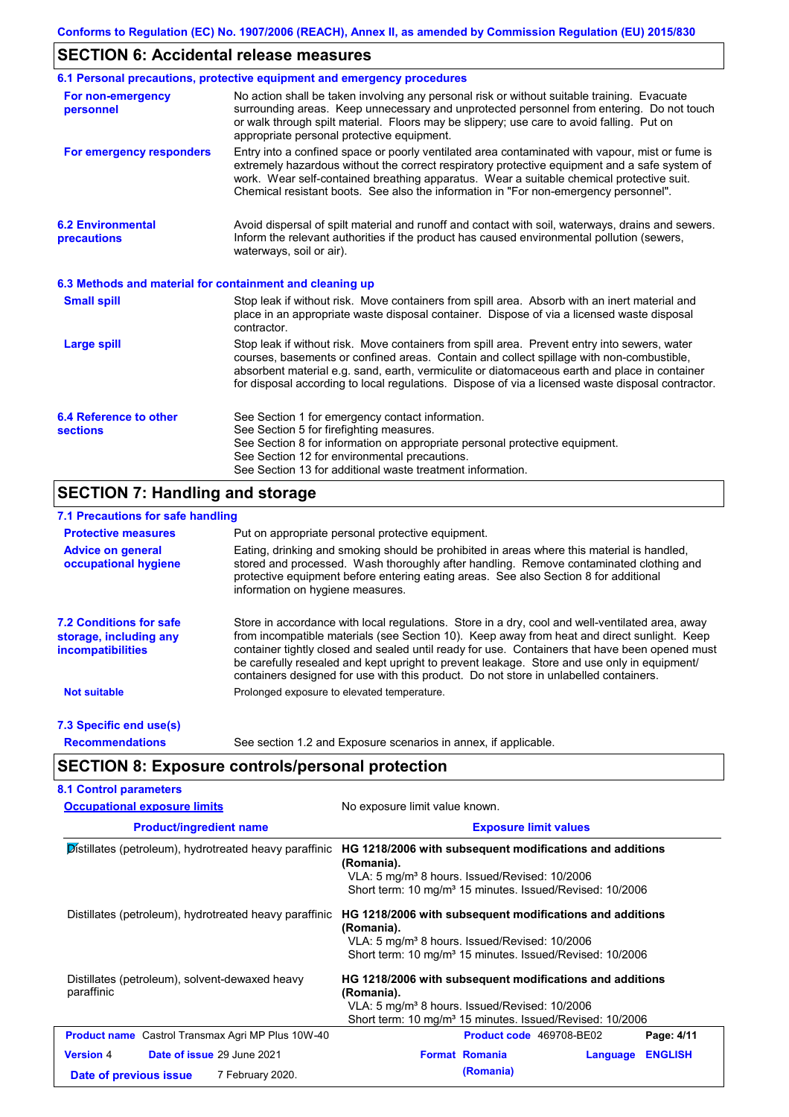### **SECTION 6: Accidental release measures**

|                                                          | 6.1 Personal precautions, protective equipment and emergency procedures                                                                                                                                                                                                                                                                                                                        |
|----------------------------------------------------------|------------------------------------------------------------------------------------------------------------------------------------------------------------------------------------------------------------------------------------------------------------------------------------------------------------------------------------------------------------------------------------------------|
| For non-emergency<br>personnel                           | No action shall be taken involving any personal risk or without suitable training. Evacuate<br>surrounding areas. Keep unnecessary and unprotected personnel from entering. Do not touch<br>or walk through spilt material. Floors may be slippery; use care to avoid falling. Put on<br>appropriate personal protective equipment.                                                            |
| For emergency responders                                 | Entry into a confined space or poorly ventilated area contaminated with vapour, mist or fume is<br>extremely hazardous without the correct respiratory protective equipment and a safe system of<br>work. Wear self-contained breathing apparatus. Wear a suitable chemical protective suit.<br>Chemical resistant boots. See also the information in "For non-emergency personnel".           |
| <b>6.2 Environmental</b><br>precautions                  | Avoid dispersal of spilt material and runoff and contact with soil, waterways, drains and sewers.<br>Inform the relevant authorities if the product has caused environmental pollution (sewers,<br>waterways, soil or air).                                                                                                                                                                    |
| 6.3 Methods and material for containment and cleaning up |                                                                                                                                                                                                                                                                                                                                                                                                |
| <b>Small spill</b>                                       | Stop leak if without risk. Move containers from spill area. Absorb with an inert material and<br>place in an appropriate waste disposal container. Dispose of via a licensed waste disposal<br>contractor.                                                                                                                                                                                     |
| <b>Large spill</b>                                       | Stop leak if without risk. Move containers from spill area. Prevent entry into sewers, water<br>courses, basements or confined areas. Contain and collect spillage with non-combustible,<br>absorbent material e.g. sand, earth, vermiculite or diatomaceous earth and place in container<br>for disposal according to local regulations. Dispose of via a licensed waste disposal contractor. |
| 6.4 Reference to other<br><b>sections</b>                | See Section 1 for emergency contact information.<br>See Section 5 for firefighting measures.<br>See Section 8 for information on appropriate personal protective equipment.<br>See Section 12 for environmental precautions.<br>See Section 13 for additional waste treatment information.                                                                                                     |

## **SECTION 7: Handling and storage**

### **7.1 Precautions for safe handling**

| <b>Protective measures</b>                                                           | Put on appropriate personal protective equipment.                                                                                                                                                                                                                                                                                                                                                                                                                                        |
|--------------------------------------------------------------------------------------|------------------------------------------------------------------------------------------------------------------------------------------------------------------------------------------------------------------------------------------------------------------------------------------------------------------------------------------------------------------------------------------------------------------------------------------------------------------------------------------|
| <b>Advice on general</b><br>occupational hygiene                                     | Eating, drinking and smoking should be prohibited in areas where this material is handled,<br>stored and processed. Wash thoroughly after handling. Remove contaminated clothing and<br>protective equipment before entering eating areas. See also Section 8 for additional<br>information on hygiene measures.                                                                                                                                                                         |
| <b>7.2 Conditions for safe</b><br>storage, including any<br><i>incompatibilities</i> | Store in accordance with local requiations. Store in a dry, cool and well-ventilated area, away<br>from incompatible materials (see Section 10). Keep away from heat and direct sunlight. Keep<br>container tightly closed and sealed until ready for use. Containers that have been opened must<br>be carefully resealed and kept upright to prevent leakage. Store and use only in equipment/<br>containers designed for use with this product. Do not store in unlabelled containers. |
| <b>Not suitable</b>                                                                  | Prolonged exposure to elevated temperature.                                                                                                                                                                                                                                                                                                                                                                                                                                              |
| 7.3 Specific end use(s)                                                              |                                                                                                                                                                                                                                                                                                                                                                                                                                                                                          |
| <b>Recommendations</b>                                                               | See section 1.2 and Exposure scenarios in annex, if applicable.                                                                                                                                                                                                                                                                                                                                                                                                                          |

# **SECTION 8: Exposure controls/personal protection**

| <b>Occupational exposure limits</b>                          | No exposure limit value known.<br><b>Exposure limit values</b>                                                                                                                                              |  |  |
|--------------------------------------------------------------|-------------------------------------------------------------------------------------------------------------------------------------------------------------------------------------------------------------|--|--|
| <b>Product/ingredient name</b>                               |                                                                                                                                                                                                             |  |  |
| Distillates (petroleum), hydrotreated heavy paraffinic       | HG 1218/2006 with subsequent modifications and additions<br>(Romania).<br>VLA: 5 mg/m <sup>3</sup> 8 hours. Issued/Revised: 10/2006<br>Short term: 10 mg/m <sup>3</sup> 15 minutes. Issued/Revised: 10/2006 |  |  |
| Distillates (petroleum), hydrotreated heavy paraffinic       | HG 1218/2006 with subsequent modifications and additions<br>(Romania).<br>VLA: 5 mg/m <sup>3</sup> 8 hours. Issued/Revised: 10/2006<br>Short term: 10 mg/m <sup>3</sup> 15 minutes. Issued/Revised: 10/2006 |  |  |
| Distillates (petroleum), solvent-dewaxed heavy<br>paraffinic | HG 1218/2006 with subsequent modifications and additions<br>(Romania).<br>VLA: 5 mg/m <sup>3</sup> 8 hours. Issued/Revised: 10/2006<br>Short term: 10 mg/m <sup>3</sup> 15 minutes. Issued/Revised: 10/2006 |  |  |
| <b>Product name</b> Castrol Transmax Agri MP Plus 10W-40     | Product code 469708-BE02<br>Page: 4/11                                                                                                                                                                      |  |  |
|                                                              | <b>Format Romania</b><br><b>ENGLISH</b><br>Language                                                                                                                                                         |  |  |
| <b>Version 4</b><br>Date of issue 29 June 2021               |                                                                                                                                                                                                             |  |  |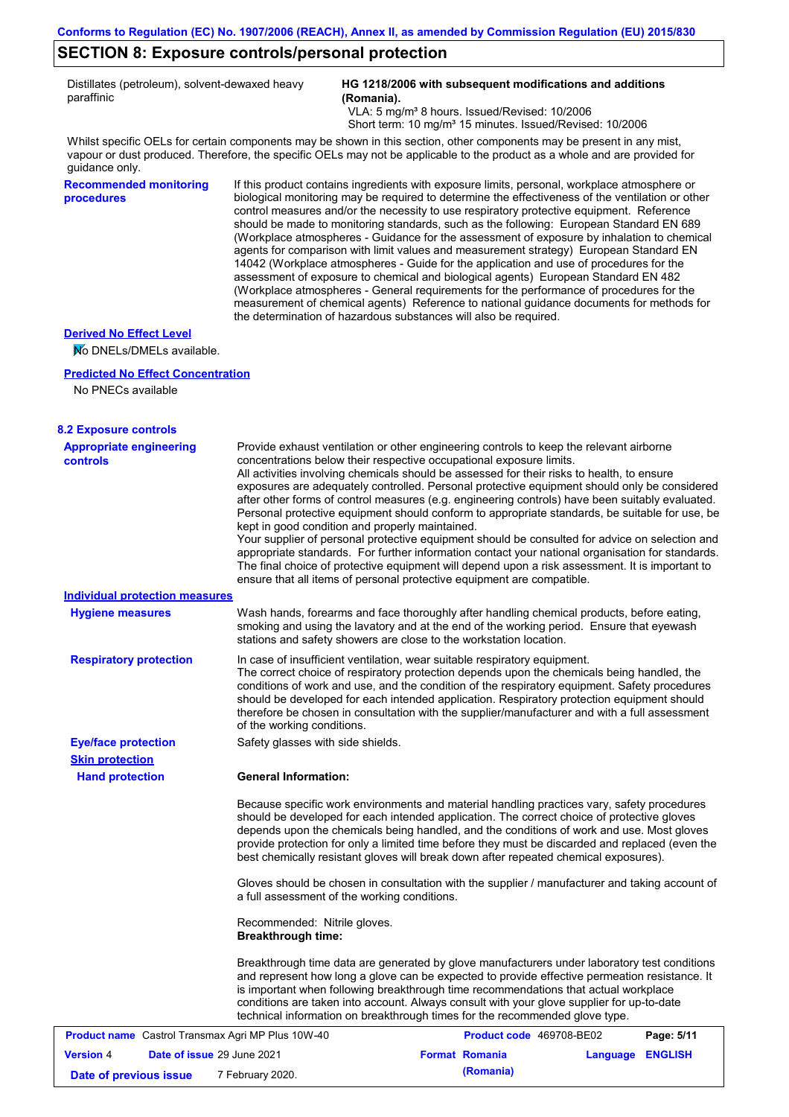### **SECTION 8: Exposure controls/personal protection**

Distillates (petroleum), solvent-dewaxed heavy paraffinic

**HG 1218/2006 with subsequent modifications and additions (Romania).**

VLA: 5 mg/m<sup>3</sup> 8 hours. Issued/Revised: 10/2006 Short term: 10 mg/m<sup>3</sup> 15 minutes. Issued/Revised: 10/2006

Whilst specific OELs for certain components may be shown in this section, other components may be present in any mist, vapour or dust produced. Therefore, the specific OELs may not be applicable to the product as a whole and are provided for guidance only.

**Recommended monitoring procedures**

If this product contains ingredients with exposure limits, personal, workplace atmosphere or biological monitoring may be required to determine the effectiveness of the ventilation or other control measures and/or the necessity to use respiratory protective equipment. Reference should be made to monitoring standards, such as the following: European Standard EN 689 (Workplace atmospheres - Guidance for the assessment of exposure by inhalation to chemical agents for comparison with limit values and measurement strategy) European Standard EN 14042 (Workplace atmospheres - Guide for the application and use of procedures for the assessment of exposure to chemical and biological agents) European Standard EN 482 (Workplace atmospheres - General requirements for the performance of procedures for the measurement of chemical agents) Reference to national guidance documents for methods for the determination of hazardous substances will also be required.

### **Derived No Effect Level**

No DNELs/DMELs available.

#### **Predicted No Effect Concentration**

No PNECs available

#### **8.2 Exposure controls**

| <b>Appropriate engineering</b><br><b>controls</b>        | Provide exhaust ventilation or other engineering controls to keep the relevant airborne<br>concentrations below their respective occupational exposure limits.<br>All activities involving chemicals should be assessed for their risks to health, to ensure<br>exposures are adequately controlled. Personal protective equipment should only be considered                                                                                                                                          |                          |                  |            |
|----------------------------------------------------------|-------------------------------------------------------------------------------------------------------------------------------------------------------------------------------------------------------------------------------------------------------------------------------------------------------------------------------------------------------------------------------------------------------------------------------------------------------------------------------------------------------|--------------------------|------------------|------------|
|                                                          | after other forms of control measures (e.g. engineering controls) have been suitably evaluated.<br>Personal protective equipment should conform to appropriate standards, be suitable for use, be<br>kept in good condition and properly maintained.                                                                                                                                                                                                                                                  |                          |                  |            |
|                                                          | Your supplier of personal protective equipment should be consulted for advice on selection and<br>appropriate standards. For further information contact your national organisation for standards.<br>The final choice of protective equipment will depend upon a risk assessment. It is important to<br>ensure that all items of personal protective equipment are compatible.                                                                                                                       |                          |                  |            |
| <b>Individual protection measures</b>                    |                                                                                                                                                                                                                                                                                                                                                                                                                                                                                                       |                          |                  |            |
| <b>Hygiene measures</b>                                  | Wash hands, forearms and face thoroughly after handling chemical products, before eating,<br>smoking and using the lavatory and at the end of the working period. Ensure that eyewash<br>stations and safety showers are close to the workstation location.                                                                                                                                                                                                                                           |                          |                  |            |
| <b>Respiratory protection</b>                            | In case of insufficient ventilation, wear suitable respiratory equipment.<br>The correct choice of respiratory protection depends upon the chemicals being handled, the<br>conditions of work and use, and the condition of the respiratory equipment. Safety procedures<br>should be developed for each intended application. Respiratory protection equipment should<br>therefore be chosen in consultation with the supplier/manufacturer and with a full assessment<br>of the working conditions. |                          |                  |            |
| <b>Eye/face protection</b>                               | Safety glasses with side shields.                                                                                                                                                                                                                                                                                                                                                                                                                                                                     |                          |                  |            |
| <b>Skin protection</b>                                   |                                                                                                                                                                                                                                                                                                                                                                                                                                                                                                       |                          |                  |            |
| <b>Hand protection</b>                                   | <b>General Information:</b>                                                                                                                                                                                                                                                                                                                                                                                                                                                                           |                          |                  |            |
|                                                          | Because specific work environments and material handling practices vary, safety procedures<br>should be developed for each intended application. The correct choice of protective gloves<br>depends upon the chemicals being handled, and the conditions of work and use. Most gloves<br>provide protection for only a limited time before they must be discarded and replaced (even the<br>best chemically resistant gloves will break down after repeated chemical exposures).                      |                          |                  |            |
|                                                          | Gloves should be chosen in consultation with the supplier / manufacturer and taking account of<br>a full assessment of the working conditions.                                                                                                                                                                                                                                                                                                                                                        |                          |                  |            |
|                                                          | Recommended: Nitrile gloves.<br><b>Breakthrough time:</b>                                                                                                                                                                                                                                                                                                                                                                                                                                             |                          |                  |            |
|                                                          | Breakthrough time data are generated by glove manufacturers under laboratory test conditions<br>and represent how long a glove can be expected to provide effective permeation resistance. It<br>is important when following breakthrough time recommendations that actual workplace<br>conditions are taken into account. Always consult with your glove supplier for up-to-date<br>technical information on breakthrough times for the recommended glove type.                                      |                          |                  |            |
| <b>Product name</b> Castrol Transmax Agri MP Plus 10W-40 |                                                                                                                                                                                                                                                                                                                                                                                                                                                                                                       | Product code 469708-BE02 |                  | Page: 5/11 |
| Date of issue 29 June 2021<br><b>Version 4</b>           |                                                                                                                                                                                                                                                                                                                                                                                                                                                                                                       | <b>Format Romania</b>    | Language ENGLISH |            |
| Date of previous issue                                   | 7 February 2020.                                                                                                                                                                                                                                                                                                                                                                                                                                                                                      | (Romania)                |                  |            |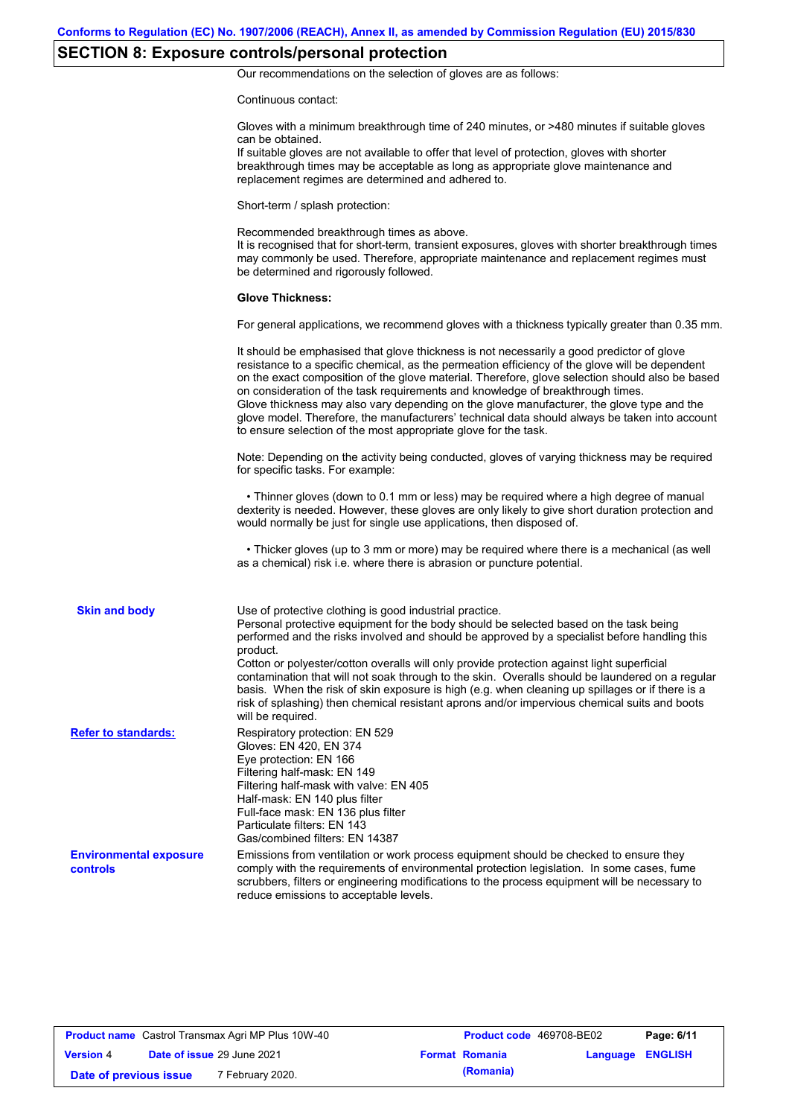# **SECTION 8: Exposure controls/personal protection**

Our recommendations on the selection of gloves are as follows:

Continuous contact:

|                                                  | Gloves with a minimum breakthrough time of 240 minutes, or >480 minutes if suitable gloves<br>can be obtained.<br>If suitable gloves are not available to offer that level of protection, gloves with shorter<br>breakthrough times may be acceptable as long as appropriate glove maintenance and<br>replacement regimes are determined and adhered to.                                                                                                                                                                                                                                                                                                                              |
|--------------------------------------------------|---------------------------------------------------------------------------------------------------------------------------------------------------------------------------------------------------------------------------------------------------------------------------------------------------------------------------------------------------------------------------------------------------------------------------------------------------------------------------------------------------------------------------------------------------------------------------------------------------------------------------------------------------------------------------------------|
|                                                  | Short-term / splash protection:                                                                                                                                                                                                                                                                                                                                                                                                                                                                                                                                                                                                                                                       |
|                                                  | Recommended breakthrough times as above.<br>It is recognised that for short-term, transient exposures, gloves with shorter breakthrough times<br>may commonly be used. Therefore, appropriate maintenance and replacement regimes must<br>be determined and rigorously followed.                                                                                                                                                                                                                                                                                                                                                                                                      |
|                                                  | <b>Glove Thickness:</b>                                                                                                                                                                                                                                                                                                                                                                                                                                                                                                                                                                                                                                                               |
|                                                  | For general applications, we recommend gloves with a thickness typically greater than 0.35 mm.                                                                                                                                                                                                                                                                                                                                                                                                                                                                                                                                                                                        |
|                                                  | It should be emphasised that glove thickness is not necessarily a good predictor of glove<br>resistance to a specific chemical, as the permeation efficiency of the glove will be dependent<br>on the exact composition of the glove material. Therefore, glove selection should also be based<br>on consideration of the task requirements and knowledge of breakthrough times.<br>Glove thickness may also vary depending on the glove manufacturer, the glove type and the<br>glove model. Therefore, the manufacturers' technical data should always be taken into account<br>to ensure selection of the most appropriate glove for the task.                                     |
|                                                  | Note: Depending on the activity being conducted, gloves of varying thickness may be required<br>for specific tasks. For example:                                                                                                                                                                                                                                                                                                                                                                                                                                                                                                                                                      |
|                                                  | • Thinner gloves (down to 0.1 mm or less) may be required where a high degree of manual<br>dexterity is needed. However, these gloves are only likely to give short duration protection and<br>would normally be just for single use applications, then disposed of.                                                                                                                                                                                                                                                                                                                                                                                                                  |
|                                                  | • Thicker gloves (up to 3 mm or more) may be required where there is a mechanical (as well<br>as a chemical) risk i.e. where there is abrasion or puncture potential.                                                                                                                                                                                                                                                                                                                                                                                                                                                                                                                 |
| <b>Skin and body</b>                             | Use of protective clothing is good industrial practice.<br>Personal protective equipment for the body should be selected based on the task being<br>performed and the risks involved and should be approved by a specialist before handling this<br>product.<br>Cotton or polyester/cotton overalls will only provide protection against light superficial<br>contamination that will not soak through to the skin. Overalls should be laundered on a regular<br>basis. When the risk of skin exposure is high (e.g. when cleaning up spillages or if there is a<br>risk of splashing) then chemical resistant aprons and/or impervious chemical suits and boots<br>will be required. |
| <b>Refer to standards:</b>                       | Respiratory protection: EN 529<br>Gloves: EN 420, EN 374<br>Eye protection: EN 166<br>Filtering half-mask: EN 149<br>Filtering half-mask with valve: EN 405<br>Half-mask: EN 140 plus filter<br>Full-face mask: EN 136 plus filter<br>Particulate filters: EN 143<br>Gas/combined filters: EN 14387                                                                                                                                                                                                                                                                                                                                                                                   |
| <b>Environmental exposure</b><br><b>controls</b> | Emissions from ventilation or work process equipment should be checked to ensure they<br>comply with the requirements of environmental protection legislation. In some cases, fume<br>scrubbers, filters or engineering modifications to the process equipment will be necessary to<br>reduce emissions to acceptable levels.                                                                                                                                                                                                                                                                                                                                                         |

| <b>Product name</b> Castrol Transmax Agri MP Plus 10W-40 |  | <b>Product code</b> 469708-BE02   |  | Page: 6/11            |                         |  |
|----------------------------------------------------------|--|-----------------------------------|--|-----------------------|-------------------------|--|
| <b>Version 4</b>                                         |  | <b>Date of issue 29 June 2021</b> |  | <b>Format Romania</b> | <b>Language ENGLISH</b> |  |
| Date of previous issue                                   |  | 7 February 2020.                  |  | (Romania)             |                         |  |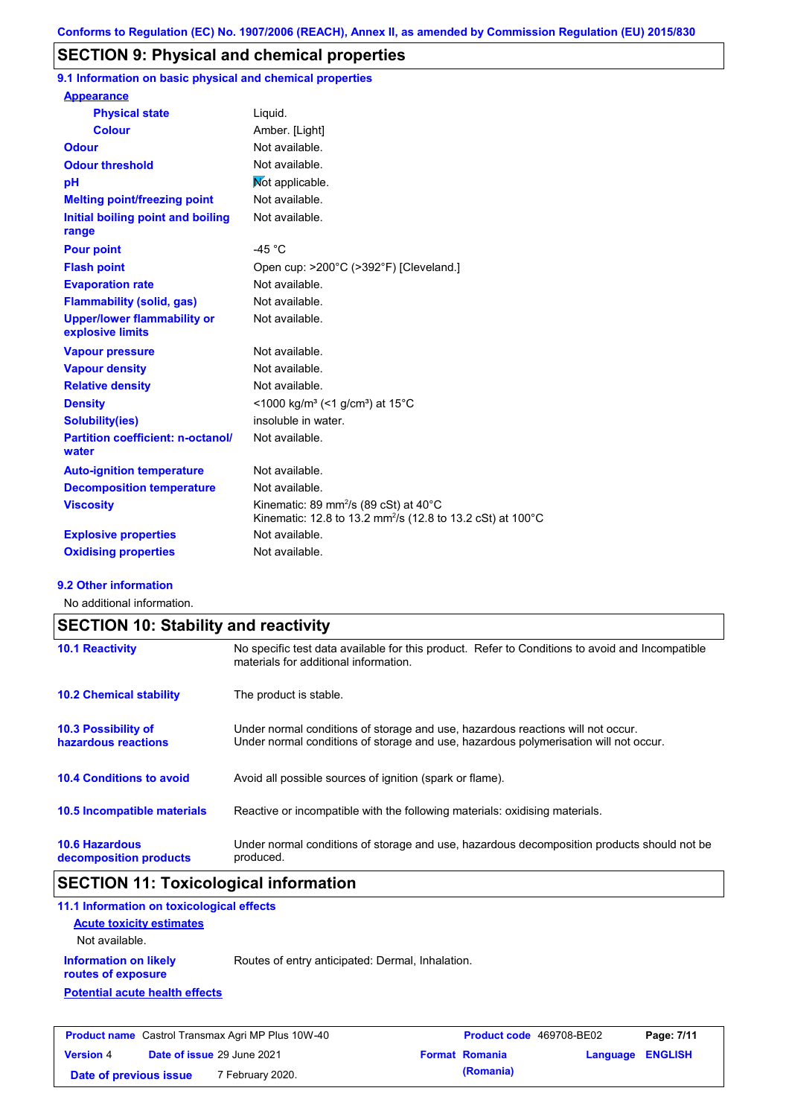### **SECTION 9: Physical and chemical properties**

**9.1 Information on basic physical and chemical properties**

| <b>Appearance</b>                                      |                                                                                                                                        |
|--------------------------------------------------------|----------------------------------------------------------------------------------------------------------------------------------------|
| <b>Physical state</b>                                  | Liguid.                                                                                                                                |
| <b>Colour</b>                                          | Amber. [Light]                                                                                                                         |
| <b>Odour</b>                                           | Not available.                                                                                                                         |
| <b>Odour threshold</b>                                 | Not available.                                                                                                                         |
| pH                                                     | Mot applicable.                                                                                                                        |
| <b>Melting point/freezing point</b>                    | Not available.                                                                                                                         |
| Initial boiling point and boiling<br>range             | Not available.                                                                                                                         |
| <b>Pour point</b>                                      | -45 $^{\circ}$ C                                                                                                                       |
| <b>Flash point</b>                                     | Open cup: >200°C (>392°F) [Cleveland.]                                                                                                 |
| <b>Evaporation rate</b>                                | Not available.                                                                                                                         |
| <b>Flammability (solid, gas)</b>                       | Not available.                                                                                                                         |
| <b>Upper/lower flammability or</b><br>explosive limits | Not available.                                                                                                                         |
| <b>Vapour pressure</b>                                 | Not available.                                                                                                                         |
| <b>Vapour density</b>                                  | Not available.                                                                                                                         |
| <b>Relative density</b>                                | Not available.                                                                                                                         |
| <b>Density</b>                                         | <1000 kg/m <sup>3</sup> (<1 g/cm <sup>3</sup> ) at 15 <sup>°</sup> C                                                                   |
| <b>Solubility(ies)</b>                                 | insoluble in water.                                                                                                                    |
| <b>Partition coefficient: n-octanol/</b><br>water      | Not available.                                                                                                                         |
| <b>Auto-ignition temperature</b>                       | Not available.                                                                                                                         |
| <b>Decomposition temperature</b>                       | Not available.                                                                                                                         |
| <b>Viscosity</b>                                       | Kinematic: 89 mm <sup>2</sup> /s (89 cSt) at $40^{\circ}$ C<br>Kinematic: 12.8 to 13.2 mm <sup>2</sup> /s (12.8 to 13.2 cSt) at 100 °C |
| <b>Explosive properties</b>                            | Not available.                                                                                                                         |
| <b>Oxidising properties</b>                            | Not available.                                                                                                                         |

#### **9.2 Other information**

No additional information.

| <b>SECTION 10: Stability and reactivity</b>       |                                                                                                                                                                         |  |  |
|---------------------------------------------------|-------------------------------------------------------------------------------------------------------------------------------------------------------------------------|--|--|
| <b>10.1 Reactivity</b>                            | No specific test data available for this product. Refer to Conditions to avoid and Incompatible<br>materials for additional information.                                |  |  |
| <b>10.2 Chemical stability</b>                    | The product is stable.                                                                                                                                                  |  |  |
| <b>10.3 Possibility of</b><br>hazardous reactions | Under normal conditions of storage and use, hazardous reactions will not occur.<br>Under normal conditions of storage and use, hazardous polymerisation will not occur. |  |  |
| <b>10.4 Conditions to avoid</b>                   | Avoid all possible sources of ignition (spark or flame).                                                                                                                |  |  |
| <b>10.5 Incompatible materials</b>                | Reactive or incompatible with the following materials: oxidising materials.                                                                                             |  |  |
| <b>10.6 Hazardous</b><br>decomposition products   | Under normal conditions of storage and use, hazardous decomposition products should not be<br>produced.                                                                 |  |  |

# **SECTION 11: Toxicological information**

| 11.1 Information on toxicological effects          |                                                  |
|----------------------------------------------------|--------------------------------------------------|
| <b>Acute toxicity estimates</b>                    |                                                  |
| Not available.                                     |                                                  |
| <b>Information on likely</b><br>routes of exposure | Routes of entry anticipated: Dermal, Inhalation. |
| <b>Potential acute health effects</b>              |                                                  |
|                                                    |                                                  |
|                                                    |                                                  |

| <b>Product name</b> Castrol Transmax Agri MP Plus 10W-40 |  | <b>Product code</b> 469708-BE02 |                       | Page: 7/11              |  |
|----------------------------------------------------------|--|---------------------------------|-----------------------|-------------------------|--|
| <b>Version 4</b>                                         |  | Date of issue 29 June 2021      | <b>Format Romania</b> | <b>Language ENGLISH</b> |  |
| Date of previous issue                                   |  | 7 February 2020.                | (Romania)             |                         |  |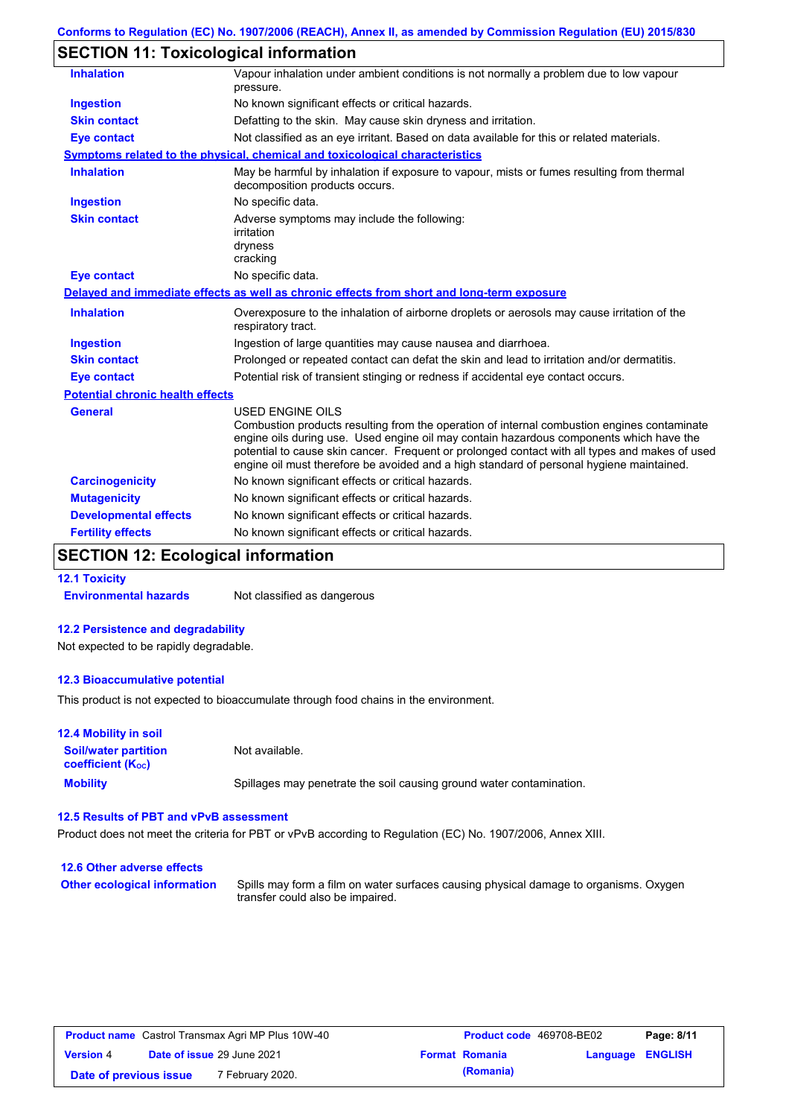# **SECTION 11: Toxicological information**

| <b>Inhalation</b>                       | Vapour inhalation under ambient conditions is not normally a problem due to low vapour<br>pressure.                                                                                                                                                                                                                                                                                                             |
|-----------------------------------------|-----------------------------------------------------------------------------------------------------------------------------------------------------------------------------------------------------------------------------------------------------------------------------------------------------------------------------------------------------------------------------------------------------------------|
| <b>Ingestion</b>                        | No known significant effects or critical hazards.                                                                                                                                                                                                                                                                                                                                                               |
| <b>Skin contact</b>                     | Defatting to the skin. May cause skin dryness and irritation.                                                                                                                                                                                                                                                                                                                                                   |
| <b>Eye contact</b>                      | Not classified as an eye irritant. Based on data available for this or related materials.                                                                                                                                                                                                                                                                                                                       |
|                                         | Symptoms related to the physical, chemical and toxicological characteristics                                                                                                                                                                                                                                                                                                                                    |
| <b>Inhalation</b>                       | May be harmful by inhalation if exposure to vapour, mists or fumes resulting from thermal<br>decomposition products occurs.                                                                                                                                                                                                                                                                                     |
| <b>Ingestion</b>                        | No specific data.                                                                                                                                                                                                                                                                                                                                                                                               |
| <b>Skin contact</b>                     | Adverse symptoms may include the following:<br>irritation<br>dryness<br>cracking                                                                                                                                                                                                                                                                                                                                |
| <b>Eye contact</b>                      | No specific data.                                                                                                                                                                                                                                                                                                                                                                                               |
|                                         | Delayed and immediate effects as well as chronic effects from short and long-term exposure                                                                                                                                                                                                                                                                                                                      |
| <b>Inhalation</b>                       | Overexposure to the inhalation of airborne droplets or aerosols may cause irritation of the<br>respiratory tract.                                                                                                                                                                                                                                                                                               |
| <b>Ingestion</b>                        | Ingestion of large quantities may cause nausea and diarrhoea.                                                                                                                                                                                                                                                                                                                                                   |
| <b>Skin contact</b>                     | Prolonged or repeated contact can defat the skin and lead to irritation and/or dermatitis.                                                                                                                                                                                                                                                                                                                      |
| <b>Eye contact</b>                      | Potential risk of transient stinging or redness if accidental eye contact occurs.                                                                                                                                                                                                                                                                                                                               |
| <b>Potential chronic health effects</b> |                                                                                                                                                                                                                                                                                                                                                                                                                 |
| <b>General</b>                          | <b>USED ENGINE OILS</b><br>Combustion products resulting from the operation of internal combustion engines contaminate<br>engine oils during use. Used engine oil may contain hazardous components which have the<br>potential to cause skin cancer. Frequent or prolonged contact with all types and makes of used<br>engine oil must therefore be avoided and a high standard of personal hygiene maintained. |
| <b>Carcinogenicity</b>                  | No known significant effects or critical hazards.                                                                                                                                                                                                                                                                                                                                                               |
| <b>Mutagenicity</b>                     | No known significant effects or critical hazards.                                                                                                                                                                                                                                                                                                                                                               |
| <b>Developmental effects</b>            | No known significant effects or critical hazards.                                                                                                                                                                                                                                                                                                                                                               |
| <b>Fertility effects</b>                | No known significant effects or critical hazards.                                                                                                                                                                                                                                                                                                                                                               |
|                                         |                                                                                                                                                                                                                                                                                                                                                                                                                 |

### **SECTION 12: Ecological information**

**12.1 Toxicity Environmental hazards** Not classified as dangerous

### **12.2 Persistence and degradability**

Not expected to be rapidly degradable.

#### **12.3 Bioaccumulative potential**

This product is not expected to bioaccumulate through food chains in the environment.

| <b>12.4 Mobility in soil</b>                                  |                                                                      |
|---------------------------------------------------------------|----------------------------------------------------------------------|
| <b>Soil/water partition</b><br>coefficient (K <sub>oc</sub> ) | Not available.                                                       |
| <b>Mobility</b>                                               | Spillages may penetrate the soil causing ground water contamination. |

### **12.5 Results of PBT and vPvB assessment**

Product does not meet the criteria for PBT or vPvB according to Regulation (EC) No. 1907/2006, Annex XIII.

| 12.6 Other adverse effects          |                                                                                                                           |
|-------------------------------------|---------------------------------------------------------------------------------------------------------------------------|
| <b>Other ecological information</b> | Spills may form a film on water surfaces causing physical damage to organisms. Oxygen<br>transfer could also be impaired. |

| <b>Product name</b> Castrol Transmax Agri MP Plus 10W-40 |                            |                  | <b>Product code</b> 469708-BE02 |                       | Page: 8/11              |  |
|----------------------------------------------------------|----------------------------|------------------|---------------------------------|-----------------------|-------------------------|--|
| <b>Version 4</b>                                         | Date of issue 29 June 2021 |                  |                                 | <b>Format Romania</b> | <b>Language ENGLISH</b> |  |
| Date of previous issue                                   |                            | 7 February 2020. |                                 | (Romania)             |                         |  |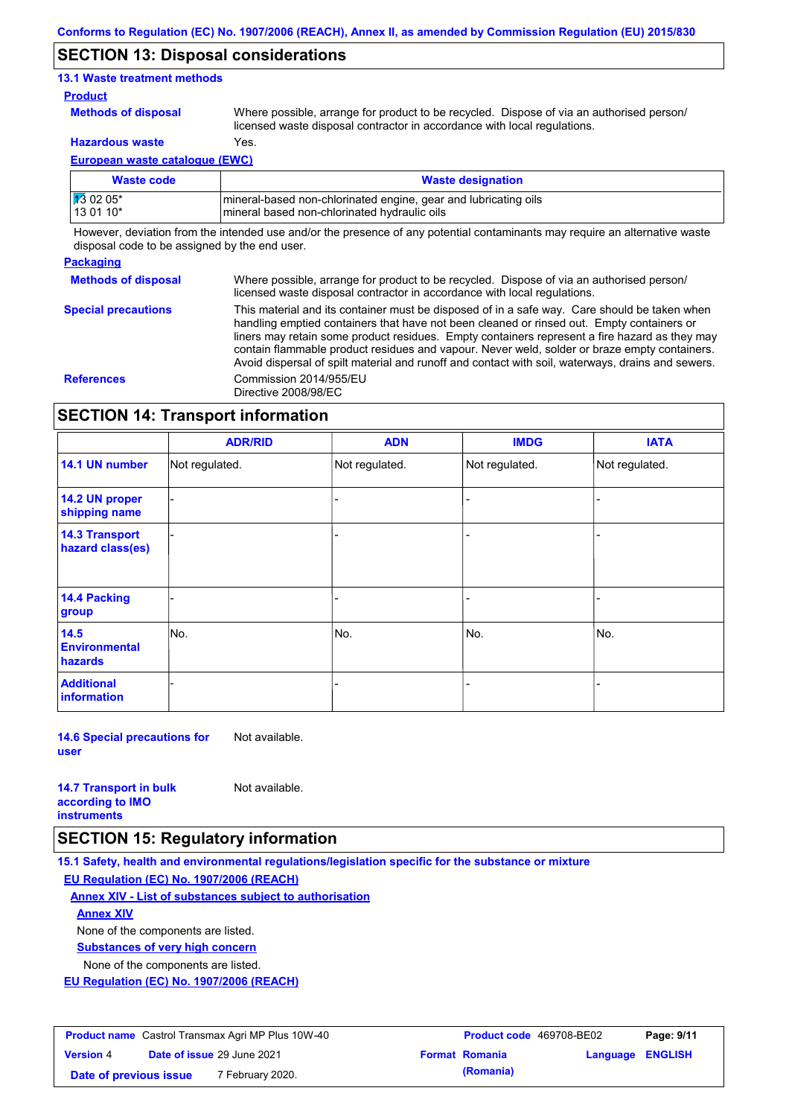### **SECTION 13: Disposal considerations**

### **13.1 Waste treatment methods**

#### **Product**

**Methods of disposal**

Where possible, arrange for product to be recycled. Dispose of via an authorised person/ licensed waste disposal contractor in accordance with local regulations.

**Hazardous waste** Yes.

**European waste catalogue (EWC)**

| Waste code | <b>Waste designation</b>                                        |
|------------|-----------------------------------------------------------------|
| 13 02 05*  | mineral-based non-chlorinated engine, gear and lubricating oils |
| 13 01 10*  | mineral based non-chlorinated hydraulic oils                    |

However, deviation from the intended use and/or the presence of any potential contaminants may require an alternative waste disposal code to be assigned by the end user.

#### **Packaging**

**Methods of disposal** Where possible, arrange for product to be recycled. Dispose of via an authorised person/ licensed waste disposal contractor in accordance with local regulations.

**Special precautions** This material and its container must be disposed of in a safe way. Care should be taken when handling emptied containers that have not been cleaned or rinsed out. Empty containers or liners may retain some product residues. Empty containers represent a fire hazard as they may contain flammable product residues and vapour. Never weld, solder or braze empty containers. Avoid dispersal of spilt material and runoff and contact with soil, waterways, drains and sewers. **References** Commission 2014/955/EU Directive 2008/98/EC

### **SECTION 14: Transport information**

|                                           | <b>ADR/RID</b> | <b>ADN</b>     | <b>IMDG</b>    | <b>IATA</b>    |
|-------------------------------------------|----------------|----------------|----------------|----------------|
| 14.1 UN number                            | Not regulated. | Not regulated. | Not regulated. | Not regulated. |
| 14.2 UN proper<br>shipping name           |                |                | -              |                |
| <b>14.3 Transport</b><br>hazard class(es) |                |                | -              |                |
| <b>14.4 Packing</b><br>group              |                |                |                |                |
| 14.5<br><b>Environmental</b><br>hazards   | No.            | No.            | No.            | No.            |
| <b>Additional</b><br><b>information</b>   |                |                |                |                |

**14.6 Special precautions for user** Not available.

| <b>14.7 Transport in bulk</b> | Not available. |
|-------------------------------|----------------|
| according to <b>IMO</b>       |                |
| <b>instruments</b>            |                |

### **SECTION 15: Regulatory information**

**15.1 Safety, health and environmental regulations/legislation specific for the substance or mixture EU Regulation (EC) No. 1907/2006 (REACH)**

**Annex XIV - List of substances subject to authorisation**

**Annex XIV**

None of the components are listed.

**Substances of very high concern**

None of the components are listed.

**EU Regulation (EC) No. 1907/2006 (REACH)**

| <b>Product name</b> Castrol Transmax Agri MP Plus 10W-40 |                                   |                  | <b>Product code</b> 469708-BE02 | Page: 9/11            |                         |  |
|----------------------------------------------------------|-----------------------------------|------------------|---------------------------------|-----------------------|-------------------------|--|
| <b>Version 4</b>                                         | <b>Date of issue 29 June 2021</b> |                  |                                 | <b>Format Romania</b> | <b>Language ENGLISH</b> |  |
| Date of previous issue                                   |                                   | 7 February 2020. |                                 | (Romania)             |                         |  |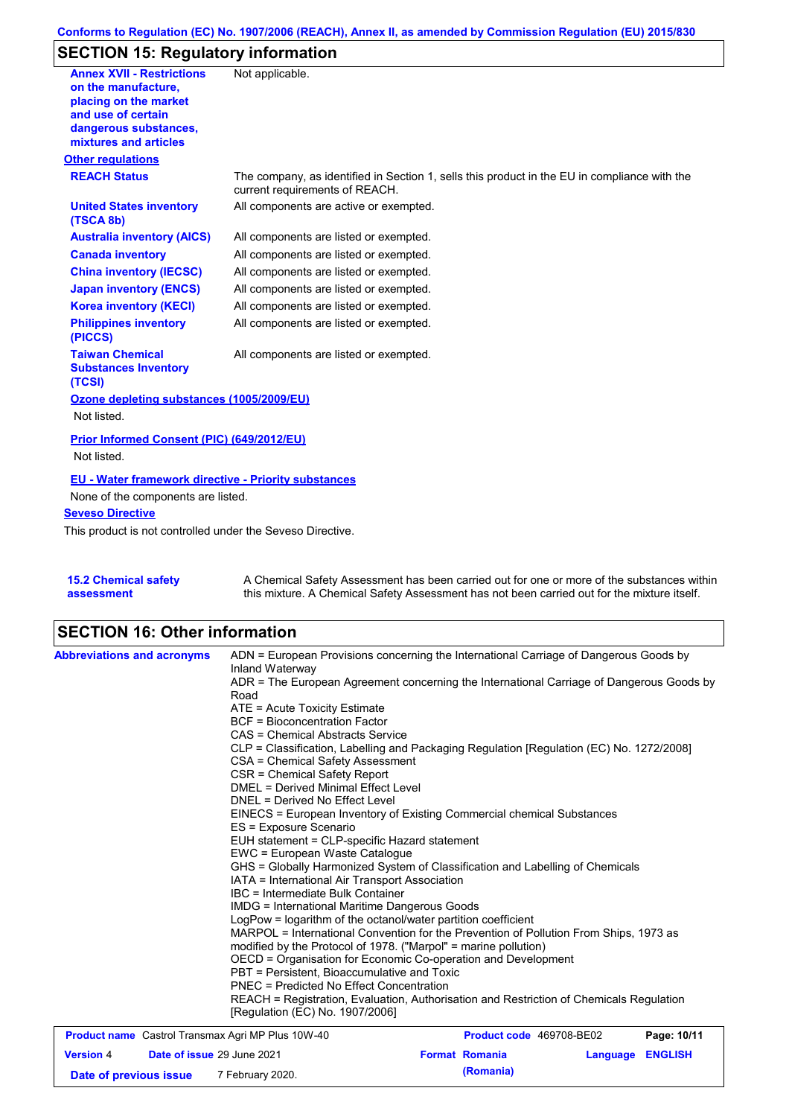# **SECTION 15: Regulatory information**

| <b>Annex XVII - Restrictions</b>                                | Not applicable.                                                                                                                |
|-----------------------------------------------------------------|--------------------------------------------------------------------------------------------------------------------------------|
| on the manufacture.                                             |                                                                                                                                |
| placing on the market                                           |                                                                                                                                |
| and use of certain                                              |                                                                                                                                |
| dangerous substances,<br>mixtures and articles                  |                                                                                                                                |
| <b>Other regulations</b>                                        |                                                                                                                                |
| <b>REACH Status</b>                                             |                                                                                                                                |
|                                                                 | The company, as identified in Section 1, sells this product in the EU in compliance with the<br>current requirements of REACH. |
| <b>United States inventory</b><br>(TSCA 8b)                     | All components are active or exempted.                                                                                         |
| <b>Australia inventory (AICS)</b>                               | All components are listed or exempted.                                                                                         |
| <b>Canada inventory</b>                                         | All components are listed or exempted.                                                                                         |
| <b>China inventory (IECSC)</b>                                  | All components are listed or exempted.                                                                                         |
| <b>Japan inventory (ENCS)</b>                                   | All components are listed or exempted.                                                                                         |
| <b>Korea inventory (KECI)</b>                                   | All components are listed or exempted.                                                                                         |
| <b>Philippines inventory</b><br>(PICCS)                         | All components are listed or exempted.                                                                                         |
| <b>Taiwan Chemical</b><br><b>Substances Inventory</b><br>(TCSI) | All components are listed or exempted.                                                                                         |
| Ozone depleting substances (1005/2009/EU)                       |                                                                                                                                |
| Not listed.                                                     |                                                                                                                                |
| Prior Informed Consent (PIC) (649/2012/EU)                      |                                                                                                                                |
| Not listed.                                                     |                                                                                                                                |
| <b>EU - Water framework directive - Priority substances</b>     |                                                                                                                                |
| None of the components are listed.                              |                                                                                                                                |
| <b>Seveso Directive</b>                                         |                                                                                                                                |
| This product is not controlled under the Seveso Directive.      |                                                                                                                                |
|                                                                 |                                                                                                                                |
|                                                                 |                                                                                                                                |
| <b>PAAL CONTRACTOR</b>                                          | A Observation I O of the Association and book is a constant of the $f_{\text{max}}$                                            |

| <b>15.2 Chemical safety</b> | A Chemical Safety Assessment has been carried out for one or more of the substances within  |
|-----------------------------|---------------------------------------------------------------------------------------------|
| assessment                  | this mixture. A Chemical Safety Assessment has not been carried out for the mixture itself. |

# **SECTION 16: Other information**

| <b>Abbreviations and acronyms</b>                        | Inland Waterway                                                 | ADN = European Provisions concerning the International Carriage of Dangerous Goods by    |             |  |  |
|----------------------------------------------------------|-----------------------------------------------------------------|------------------------------------------------------------------------------------------|-------------|--|--|
|                                                          | Road                                                            | ADR = The European Agreement concerning the International Carriage of Dangerous Goods by |             |  |  |
|                                                          | ATE = Acute Toxicity Estimate                                   |                                                                                          |             |  |  |
|                                                          | BCF = Bioconcentration Factor                                   |                                                                                          |             |  |  |
|                                                          | CAS = Chemical Abstracts Service                                |                                                                                          |             |  |  |
|                                                          |                                                                 | CLP = Classification, Labelling and Packaging Regulation [Regulation (EC) No. 1272/2008] |             |  |  |
|                                                          | CSA = Chemical Safety Assessment                                |                                                                                          |             |  |  |
|                                                          | CSR = Chemical Safety Report                                    |                                                                                          |             |  |  |
|                                                          | DMEL = Derived Minimal Effect Level                             |                                                                                          |             |  |  |
|                                                          | DNEL = Derived No Effect Level                                  |                                                                                          |             |  |  |
|                                                          |                                                                 | EINECS = European Inventory of Existing Commercial chemical Substances                   |             |  |  |
|                                                          | ES = Exposure Scenario                                          |                                                                                          |             |  |  |
|                                                          | EUH statement = CLP-specific Hazard statement                   |                                                                                          |             |  |  |
|                                                          | EWC = European Waste Catalogue                                  |                                                                                          |             |  |  |
|                                                          |                                                                 | GHS = Globally Harmonized System of Classification and Labelling of Chemicals            |             |  |  |
|                                                          | IATA = International Air Transport Association                  |                                                                                          |             |  |  |
|                                                          | IBC = Intermediate Bulk Container                               |                                                                                          |             |  |  |
|                                                          | <b>IMDG = International Maritime Dangerous Goods</b>            |                                                                                          |             |  |  |
|                                                          | LogPow = logarithm of the octanol/water partition coefficient   |                                                                                          |             |  |  |
|                                                          |                                                                 | MARPOL = International Convention for the Prevention of Pollution From Ships, 1973 as    |             |  |  |
|                                                          | modified by the Protocol of 1978. ("Marpol" = marine pollution) |                                                                                          |             |  |  |
|                                                          |                                                                 | OECD = Organisation for Economic Co-operation and Development                            |             |  |  |
|                                                          | PBT = Persistent. Bioaccumulative and Toxic                     |                                                                                          |             |  |  |
|                                                          | PNEC = Predicted No Effect Concentration                        |                                                                                          |             |  |  |
|                                                          |                                                                 | REACH = Registration, Evaluation, Authorisation and Restriction of Chemicals Regulation  |             |  |  |
|                                                          | [Regulation (EC) No. 1907/2006]                                 |                                                                                          |             |  |  |
| <b>Product name</b> Castrol Transmay Agri MP Plus 10W-40 |                                                                 | <b>Product code 469708-RE02</b>                                                          | Page: 10/11 |  |  |

| <b>Product name</b> Castrol Transmax Agri MP Plus 10W-40 |                                   |                  | <b>Product code</b> 469708-BE02 |                       | Page: 10/11      |  |
|----------------------------------------------------------|-----------------------------------|------------------|---------------------------------|-----------------------|------------------|--|
| <b>Version 4</b>                                         | <b>Date of issue 29 June 2021</b> |                  |                                 | <b>Format Romania</b> | Language ENGLISH |  |
| Date of previous issue                                   |                                   | 7 February 2020. |                                 | (Romania)             |                  |  |